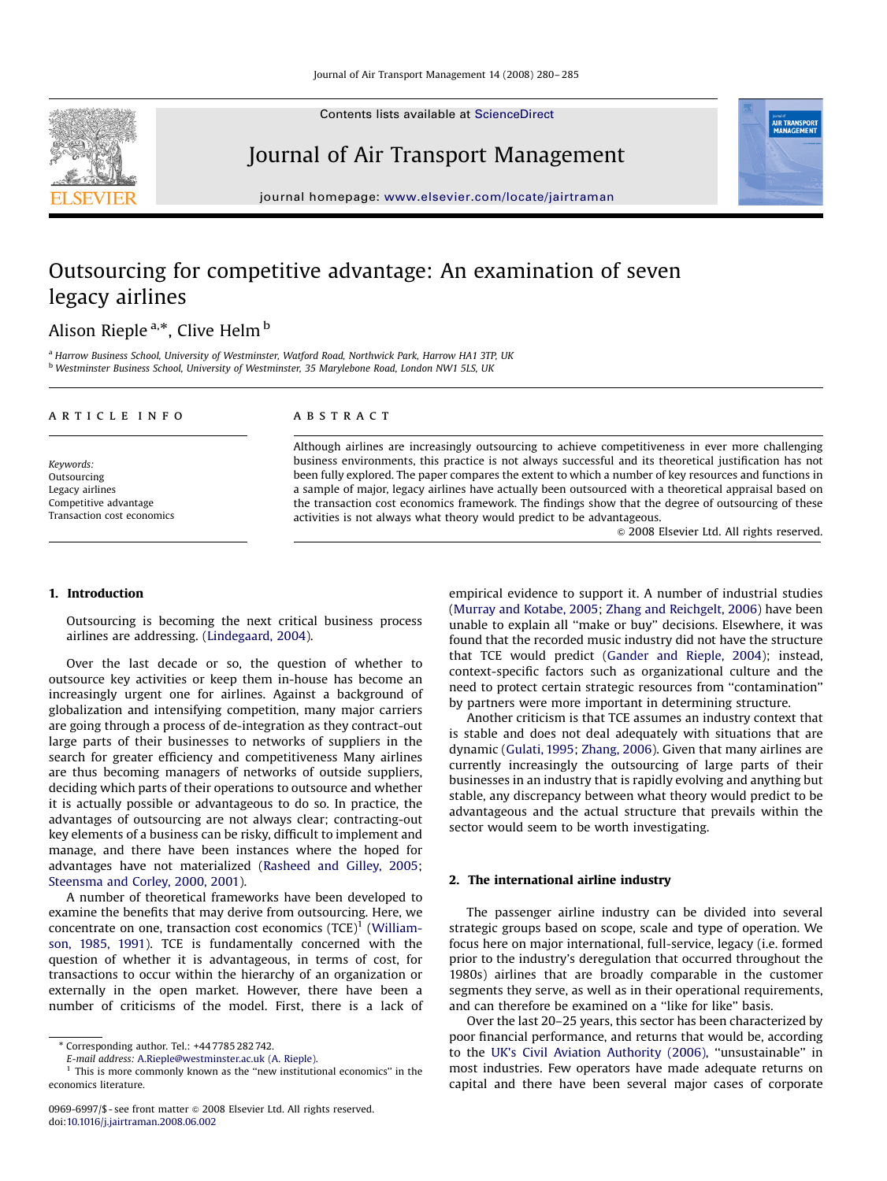Contents lists available at [ScienceDirect](www.sciencedirect.com/science/journal/jatm)

### Journal of Air Transport Management

journal homepage: <www.elsevier.com/locate/jairtraman>

## Outsourcing for competitive advantage: An examination of seven legacy airlines

### Alison Rieple <sup>a,</sup>\*, Clive Helm <sup>b</sup>

<sup>a</sup> Harrow Business School, University of Westminster, Watford Road, Northwick Park, Harrow HA1 3TP, UK b Westminster Business School, University of Westminster, 35 Marylebone Road, London NW1 5LS, UK

#### article info

Keywords: Outsourcing Legacy airlines Competitive advantage Transaction cost economics

#### ABSTRACT

Although airlines are increasingly outsourcing to achieve competitiveness in ever more challenging business environments, this practice is not always successful and its theoretical justification has not been fully explored. The paper compares the extent to which a number of key resources and functions in a sample of major, legacy airlines have actually been outsourced with a theoretical appraisal based on the transaction cost economics framework. The findings show that the degree of outsourcing of these activities is not always what theory would predict to be advantageous.

 $\odot$  2008 Elsevier Ltd. All rights reserved.

AIR TRANSP

#### 1. Introduction

Outsourcing is becoming the next critical business process airlines are addressing. [\(Lindegaard, 2004](#page--1-0)).

Over the last decade or so, the question of whether to outsource key activities or keep them in-house has become an increasingly urgent one for airlines. Against a background of globalization and intensifying competition, many major carriers are going through a process of de-integration as they contract-out large parts of their businesses to networks of suppliers in the search for greater efficiency and competitiveness Many airlines are thus becoming managers of networks of outside suppliers, deciding which parts of their operations to outsource and whether it is actually possible or advantageous to do so. In practice, the advantages of outsourcing are not always clear; contracting-out key elements of a business can be risky, difficult to implement and manage, and there have been instances where the hoped for advantages have not materialized ([Rasheed and Gilley, 2005;](#page--1-0) [Steensma and Corley, 2000, 2001\)](#page--1-0).

A number of theoretical frameworks have been developed to examine the benefits that may derive from outsourcing. Here, we concentrate on one, transaction cost economics  $(TCE)^1$  ([William](#page--1-0)[son, 1985, 1991\)](#page--1-0). TCE is fundamentally concerned with the question of whether it is advantageous, in terms of cost, for transactions to occur within the hierarchy of an organization or externally in the open market. However, there have been a number of criticisms of the model. First, there is a lack of empirical evidence to support it. A number of industrial studies ([Murray and Kotabe, 2005;](#page--1-0) [Zhang and Reichgelt, 2006\)](#page--1-0) have been unable to explain all ''make or buy'' decisions. Elsewhere, it was found that the recorded music industry did not have the structure that TCE would predict ([Gander and Rieple, 2004\)](#page--1-0); instead, context-specific factors such as organizational culture and the need to protect certain strategic resources from ''contamination'' by partners were more important in determining structure.

Another criticism is that TCE assumes an industry context that is stable and does not deal adequately with situations that are dynamic ([Gulati, 1995;](#page--1-0) [Zhang, 2006\)](#page--1-0). Given that many airlines are currently increasingly the outsourcing of large parts of their businesses in an industry that is rapidly evolving and anything but stable, any discrepancy between what theory would predict to be advantageous and the actual structure that prevails within the sector would seem to be worth investigating.

#### 2. The international airline industry

The passenger airline industry can be divided into several strategic groups based on scope, scale and type of operation. We focus here on major international, full-service, legacy (i.e. formed prior to the industry's deregulation that occurred throughout the 1980s) airlines that are broadly comparable in the customer segments they serve, as well as in their operational requirements, and can therefore be examined on a ''like for like'' basis.

Over the last 20–25 years, this sector has been characterized by poor financial performance, and returns that would be, according to the [UK's Civil Aviation Authority \(2006\)](#page--1-0), ''unsustainable'' in most industries. Few operators have made adequate returns on capital and there have been several major cases of corporate



<sup>-</sup> Corresponding author. Tel.: +44 7785 282 742.

E-mail address: [A.Rieple@westminster.ac.uk \(A. Rieple\).](mailto:A.Rieple@westminster.ac.uk)

 $<sup>1</sup>$  This is more commonly known as the "new institutional economics" in the</sup> economics literature.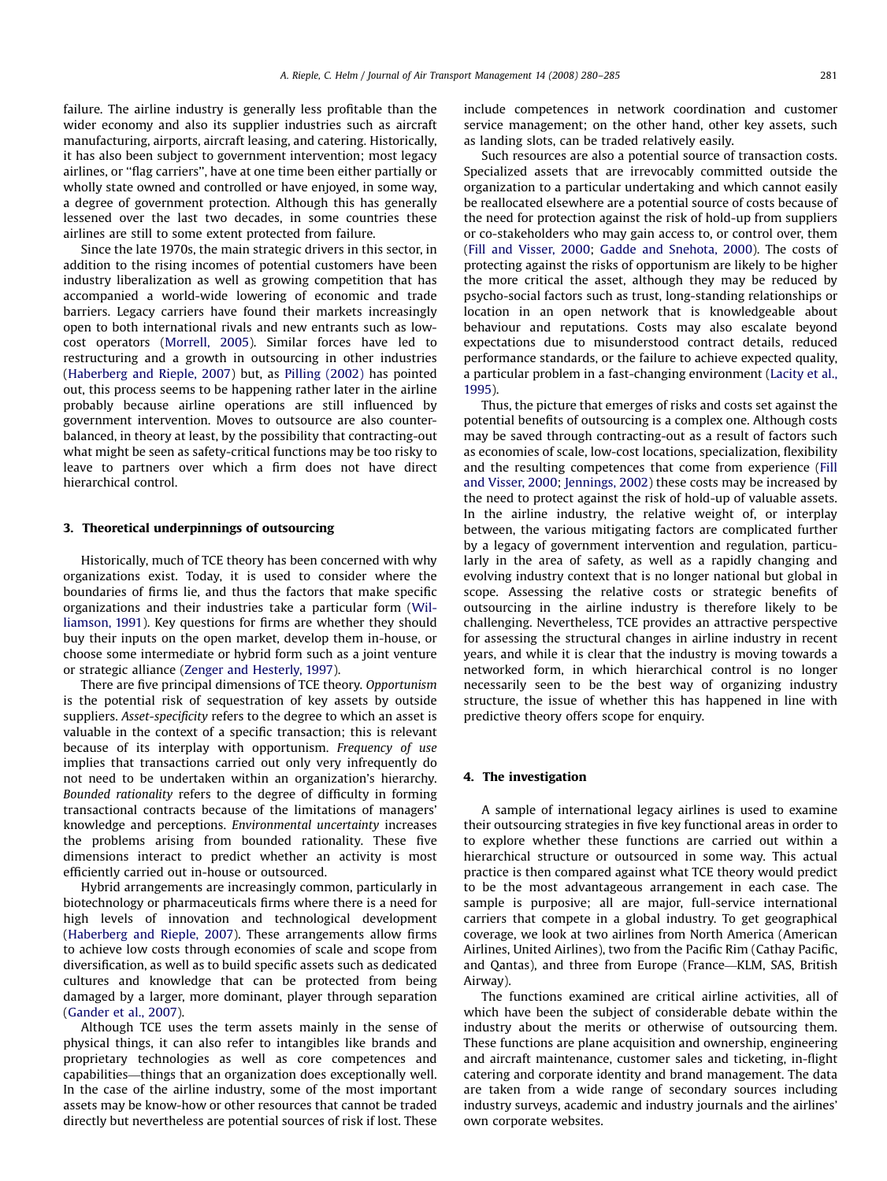failure. The airline industry is generally less profitable than the wider economy and also its supplier industries such as aircraft manufacturing, airports, aircraft leasing, and catering. Historically, it has also been subject to government intervention; most legacy airlines, or ''flag carriers'', have at one time been either partially or wholly state owned and controlled or have enjoyed, in some way, a degree of government protection. Although this has generally lessened over the last two decades, in some countries these airlines are still to some extent protected from failure.

Since the late 1970s, the main strategic drivers in this sector, in addition to the rising incomes of potential customers have been industry liberalization as well as growing competition that has accompanied a world-wide lowering of economic and trade barriers. Legacy carriers have found their markets increasingly open to both international rivals and new entrants such as lowcost operators ([Morrell, 2005](#page--1-0)). Similar forces have led to restructuring and a growth in outsourcing in other industries ([Haberberg and Rieple, 2007](#page--1-0)) but, as [Pilling \(2002\)](#page--1-0) has pointed out, this process seems to be happening rather later in the airline probably because airline operations are still influenced by government intervention. Moves to outsource are also counterbalanced, in theory at least, by the possibility that contracting-out what might be seen as safety-critical functions may be too risky to leave to partners over which a firm does not have direct hierarchical control.

#### 3. Theoretical underpinnings of outsourcing

Historically, much of TCE theory has been concerned with why organizations exist. Today, it is used to consider where the boundaries of firms lie, and thus the factors that make specific organizations and their industries take a particular form ([Wil](#page--1-0)[liamson, 1991\)](#page--1-0). Key questions for firms are whether they should buy their inputs on the open market, develop them in-house, or choose some intermediate or hybrid form such as a joint venture or strategic alliance [\(Zenger and Hesterly, 1997\)](#page--1-0).

There are five principal dimensions of TCE theory. Opportunism is the potential risk of sequestration of key assets by outside suppliers. Asset-specificity refers to the degree to which an asset is valuable in the context of a specific transaction; this is relevant because of its interplay with opportunism. Frequency of use implies that transactions carried out only very infrequently do not need to be undertaken within an organization's hierarchy. Bounded rationality refers to the degree of difficulty in forming transactional contracts because of the limitations of managers' knowledge and perceptions. Environmental uncertainty increases the problems arising from bounded rationality. These five dimensions interact to predict whether an activity is most efficiently carried out in-house or outsourced.

Hybrid arrangements are increasingly common, particularly in biotechnology or pharmaceuticals firms where there is a need for high levels of innovation and technological development ([Haberberg and Rieple, 2007\)](#page--1-0). These arrangements allow firms to achieve low costs through economies of scale and scope from diversification, as well as to build specific assets such as dedicated cultures and knowledge that can be protected from being damaged by a larger, more dominant, player through separation ([Gander et al., 2007\)](#page--1-0).

Although TCE uses the term assets mainly in the sense of physical things, it can also refer to intangibles like brands and proprietary technologies as well as core competences and capabilities—things that an organization does exceptionally well. In the case of the airline industry, some of the most important assets may be know-how or other resources that cannot be traded directly but nevertheless are potential sources of risk if lost. These

include competences in network coordination and customer service management; on the other hand, other key assets, such as landing slots, can be traded relatively easily.

Such resources are also a potential source of transaction costs. Specialized assets that are irrevocably committed outside the organization to a particular undertaking and which cannot easily be reallocated elsewhere are a potential source of costs because of the need for protection against the risk of hold-up from suppliers or co-stakeholders who may gain access to, or control over, them ([Fill and Visser, 2000](#page--1-0); [Gadde and Snehota, 2000](#page--1-0)). The costs of protecting against the risks of opportunism are likely to be higher the more critical the asset, although they may be reduced by psycho-social factors such as trust, long-standing relationships or location in an open network that is knowledgeable about behaviour and reputations. Costs may also escalate beyond expectations due to misunderstood contract details, reduced performance standards, or the failure to achieve expected quality, a particular problem in a fast-changing environment [\(Lacity et al.,](#page--1-0) [1995](#page--1-0)).

Thus, the picture that emerges of risks and costs set against the potential benefits of outsourcing is a complex one. Although costs may be saved through contracting-out as a result of factors such as economies of scale, low-cost locations, specialization, flexibility and the resulting competences that come from experience ([Fill](#page--1-0) [and Visser, 2000](#page--1-0); [Jennings, 2002\)](#page--1-0) these costs may be increased by the need to protect against the risk of hold-up of valuable assets. In the airline industry, the relative weight of, or interplay between, the various mitigating factors are complicated further by a legacy of government intervention and regulation, particularly in the area of safety, as well as a rapidly changing and evolving industry context that is no longer national but global in scope. Assessing the relative costs or strategic benefits of outsourcing in the airline industry is therefore likely to be challenging. Nevertheless, TCE provides an attractive perspective for assessing the structural changes in airline industry in recent years, and while it is clear that the industry is moving towards a networked form, in which hierarchical control is no longer necessarily seen to be the best way of organizing industry structure, the issue of whether this has happened in line with predictive theory offers scope for enquiry.

#### 4. The investigation

A sample of international legacy airlines is used to examine their outsourcing strategies in five key functional areas in order to to explore whether these functions are carried out within a hierarchical structure or outsourced in some way. This actual practice is then compared against what TCE theory would predict to be the most advantageous arrangement in each case. The sample is purposive; all are major, full-service international carriers that compete in a global industry. To get geographical coverage, we look at two airlines from North America (American Airlines, United Airlines), two from the Pacific Rim (Cathay Pacific, and Qantas), and three from Europe (France—KLM, SAS, British Airway).

The functions examined are critical airline activities, all of which have been the subject of considerable debate within the industry about the merits or otherwise of outsourcing them. These functions are plane acquisition and ownership, engineering and aircraft maintenance, customer sales and ticketing, in-flight catering and corporate identity and brand management. The data are taken from a wide range of secondary sources including industry surveys, academic and industry journals and the airlines' own corporate websites.